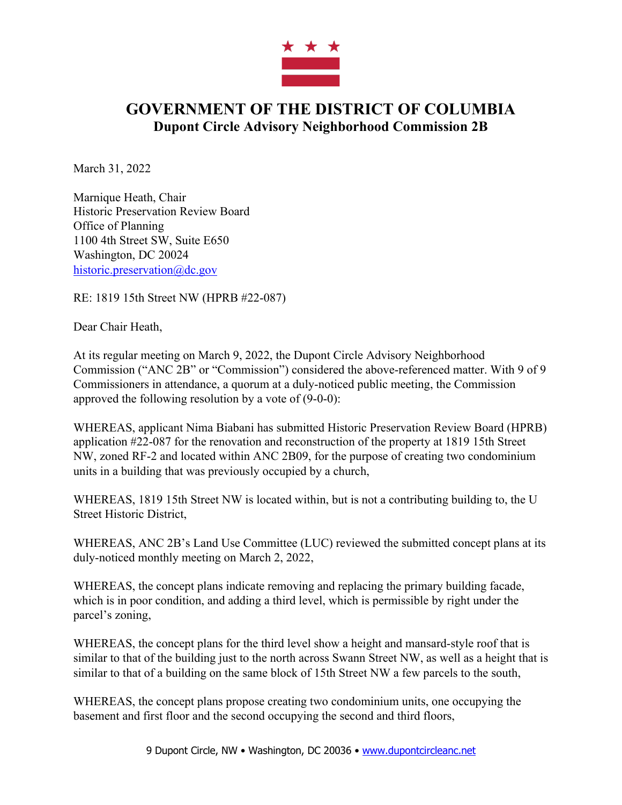

## **GOVERNMENT OF THE DISTRICT OF COLUMBIA Dupont Circle Advisory Neighborhood Commission 2B**

March 31, 2022

Marnique Heath, Chair Historic Preservation Review Board Office of Planning 1100 4th Street SW, Suite E650 Washington, DC 20024 historic.preservation@dc.gov

RE: 1819 15th Street NW (HPRB #22-087)

Dear Chair Heath,

At its regular meeting on March 9, 2022, the Dupont Circle Advisory Neighborhood Commission ("ANC 2B" or "Commission") considered the above-referenced matter. With 9 of 9 Commissioners in attendance, a quorum at a duly-noticed public meeting, the Commission approved the following resolution by a vote of (9-0-0):

WHEREAS, applicant Nima Biabani has submitted Historic Preservation Review Board (HPRB) application #22-087 for the renovation and reconstruction of the property at 1819 15th Street NW, zoned RF-2 and located within ANC 2B09, for the purpose of creating two condominium units in a building that was previously occupied by a church,

WHEREAS, 1819 15th Street NW is located within, but is not a contributing building to, the U Street Historic District,

WHEREAS, ANC 2B's Land Use Committee (LUC) reviewed the submitted concept plans at its duly-noticed monthly meeting on March 2, 2022,

WHEREAS, the concept plans indicate removing and replacing the primary building facade, which is in poor condition, and adding a third level, which is permissible by right under the parcel's zoning,

WHEREAS, the concept plans for the third level show a height and mansard-style roof that is similar to that of the building just to the north across Swann Street NW, as well as a height that is similar to that of a building on the same block of 15th Street NW a few parcels to the south,

WHEREAS, the concept plans propose creating two condominium units, one occupying the basement and first floor and the second occupying the second and third floors,